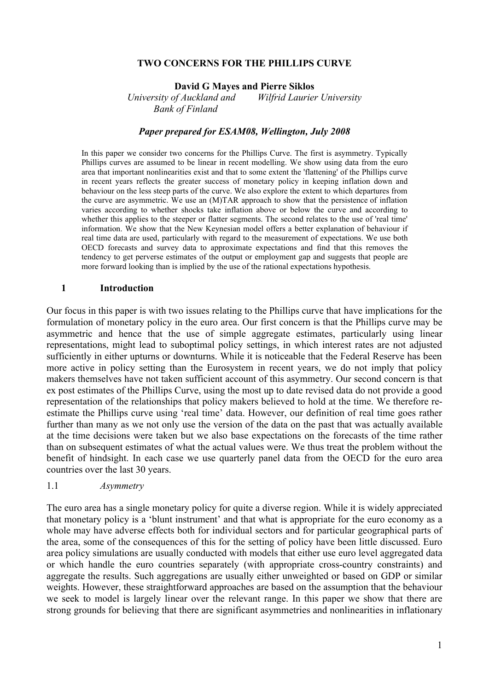### **TWO CONCERNS FOR THE PHILLIPS CURVE**

#### **David G Mayes and Pierre Siklos**

*University of Auckland and Wilfrid Laurier University Bank of Finland*

#### *Paper prepared for ESAM08, Wellington, July 2008*

In this paper we consider two concerns for the Phillips Curve. The first is asymmetry. Typically Phillips curves are assumed to be linear in recent modelling. We show using data from the euro area that important nonlinearities exist and that to some extent the 'flattening' of the Phillips curve in recent years reflects the greater success of monetary policy in keeping inflation down and behaviour on the less steep parts of the curve. We also explore the extent to which departures from the curve are asymmetric. We use an (M)TAR approach to show that the persistence of inflation varies according to whether shocks take inflation above or below the curve and according to whether this applies to the steeper or flatter segments. The second relates to the use of 'real time' information. We show that the New Keynesian model offers a better explanation of behaviour if real time data are used, particularly with regard to the measurement of expectations. We use both OECD forecasts and survey data to approximate expectations and find that this removes the tendency to get perverse estimates of the output or employment gap and suggests that people are more forward looking than is implied by the use of the rational expectations hypothesis.

#### **1 Introduction**

Our focus in this paper is with two issues relating to the Phillips curve that have implications for the formulation of monetary policy in the euro area. Our first concern is that the Phillips curve may be asymmetric and hence that the use of simple aggregate estimates, particularly using linear representations, might lead to suboptimal policy settings, in which interest rates are not adjusted sufficiently in either upturns or downturns. While it is noticeable that the Federal Reserve has been more active in policy setting than the Eurosystem in recent years, we do not imply that policy makers themselves have not taken sufficient account of this asymmetry. Our second concern is that ex post estimates of the Phillips Curve, using the most up to date revised data do not provide a good representation of the relationships that policy makers believed to hold at the time. We therefore reestimate the Phillips curve using 'real time' data. However, our definition of real time goes rather further than many as we not only use the version of the data on the past that was actually available at the time decisions were taken but we also base expectations on the forecasts of the time rather than on subsequent estimates of what the actual values were. We thus treat the problem without the benefit of hindsight. In each case we use quarterly panel data from the OECD for the euro area countries over the last 30 years.

#### 1.1 *Asymmetry*

The euro area has a single monetary policy for quite a diverse region. While it is widely appreciated that monetary policy is a 'blunt instrument' and that what is appropriate for the euro economy as a whole may have adverse effects both for individual sectors and for particular geographical parts of the area, some of the consequences of this for the setting of policy have been little discussed. Euro area policy simulations are usually conducted with models that either use euro level aggregated data or which handle the euro countries separately (with appropriate cross-country constraints) and aggregate the results. Such aggregations are usually either unweighted or based on GDP or similar weights. However, these straightforward approaches are based on the assumption that the behaviour we seek to model is largely linear over the relevant range. In this paper we show that there are strong grounds for believing that there are significant asymmetries and nonlinearities in inflationary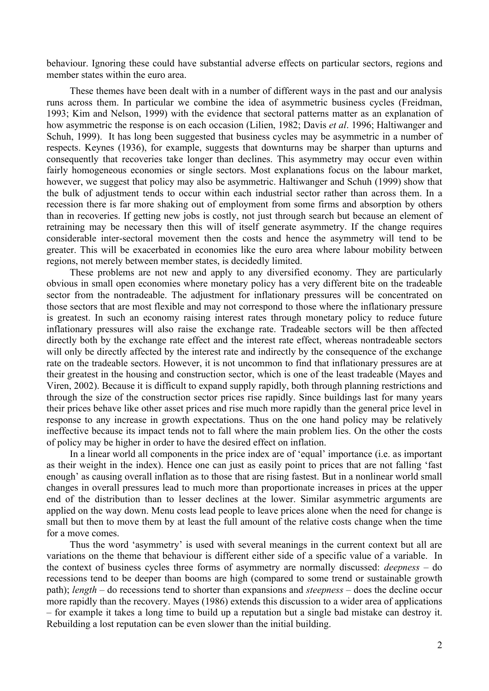behaviour. Ignoring these could have substantial adverse effects on particular sectors, regions and member states within the euro area.

These themes have been dealt with in a number of different ways in the past and our analysis runs across them. In particular we combine the idea of asymmetric business cycles (Freidman, 1993; Kim and Nelson, 1999) with the evidence that sectoral patterns matter as an explanation of how asymmetric the response is on each occasion (Lilien, 1982; Davis *et al*. 1996; Haltiwanger and Schuh, 1999). It has long been suggested that business cycles may be asymmetric in a number of respects. Keynes (1936), for example, suggests that downturns may be sharper than upturns and consequently that recoveries take longer than declines. This asymmetry may occur even within fairly homogeneous economies or single sectors. Most explanations focus on the labour market, however, we suggest that policy may also be asymmetric. Haltiwanger and Schuh (1999) show that the bulk of adjustment tends to occur within each industrial sector rather than across them. In a recession there is far more shaking out of employment from some firms and absorption by others than in recoveries. If getting new jobs is costly, not just through search but because an element of retraining may be necessary then this will of itself generate asymmetry. If the change requires considerable inter-sectoral movement then the costs and hence the asymmetry will tend to be greater. This will be exacerbated in economies like the euro area where labour mobility between regions, not merely between member states, is decidedly limited.

These problems are not new and apply to any diversified economy. They are particularly obvious in small open economies where monetary policy has a very different bite on the tradeable sector from the nontradeable. The adjustment for inflationary pressures will be concentrated on those sectors that are most flexible and may not correspond to those where the inflationary pressure is greatest. In such an economy raising interest rates through monetary policy to reduce future inflationary pressures will also raise the exchange rate. Tradeable sectors will be then affected directly both by the exchange rate effect and the interest rate effect, whereas nontradeable sectors will only be directly affected by the interest rate and indirectly by the consequence of the exchange rate on the tradeable sectors. However, it is not uncommon to find that inflationary pressures are at their greatest in the housing and construction sector, which is one of the least tradeable (Mayes and Viren, 2002). Because it is difficult to expand supply rapidly, both through planning restrictions and through the size of the construction sector prices rise rapidly. Since buildings last for many years their prices behave like other asset prices and rise much more rapidly than the general price level in response to any increase in growth expectations. Thus on the one hand policy may be relatively ineffective because its impact tends not to fall where the main problem lies. On the other the costs of policy may be higher in order to have the desired effect on inflation.

In a linear world all components in the price index are of 'equal' importance (i.e. as important as their weight in the index). Hence one can just as easily point to prices that are not falling 'fast enough' as causing overall inflation as to those that are rising fastest. But in a nonlinear world small changes in overall pressures lead to much more than proportionate increases in prices at the upper end of the distribution than to lesser declines at the lower. Similar asymmetric arguments are applied on the way down. Menu costs lead people to leave prices alone when the need for change is small but then to move them by at least the full amount of the relative costs change when the time for a move comes.

Thus the word 'asymmetry' is used with several meanings in the current context but all are variations on the theme that behaviour is different either side of a specific value of a variable. In the context of business cycles three forms of asymmetry are normally discussed: *deepness* – do recessions tend to be deeper than booms are high (compared to some trend or sustainable growth path); *length* – do recessions tend to shorter than expansions and *steepness* – does the decline occur more rapidly than the recovery. Mayes (1986) extends this discussion to a wider area of applications – for example it takes a long time to build up a reputation but a single bad mistake can destroy it. Rebuilding a lost reputation can be even slower than the initial building.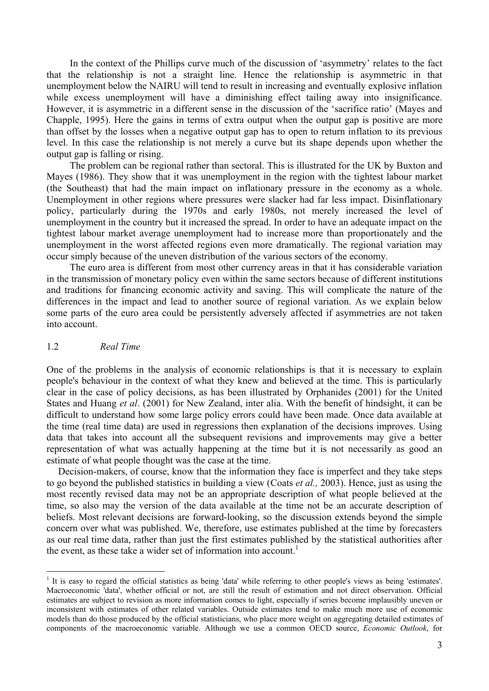In the context of the Phillips curve much of the discussion of 'asymmetry' relates to the fact that the relationship is not a straight line. Hence the relationship is asymmetric in that unemployment below the NAIRU will tend to result in increasing and eventually explosive inflation while excess unemployment will have a diminishing effect tailing away into insignificance. However, it is asymmetric in a different sense in the discussion of the 'sacrifice ratio' (Mayes and Chapple, 1995). Here the gains in terms of extra output when the output gap is positive are more than offset by the losses when a negative output gap has to open to return inflation to its previous level. In this case the relationship is not merely a curve but its shape depends upon whether the output gap is falling or rising.

The problem can be regional rather than sectoral. This is illustrated for the UK by Buxton and Mayes (1986). They show that it was unemployment in the region with the tightest labour market (the Southeast) that had the main impact on inflationary pressure in the economy as a whole. Unemployment in other regions where pressures were slacker had far less impact. Disinflationary policy, particularly during the 1970s and early 1980s, not merely increased the level of unemployment in the country but it increased the spread. In order to have an adequate impact on the tightest labour market average unemployment had to increase more than proportionately and the unemployment in the worst affected regions even more dramatically. The regional variation may occur simply because of the uneven distribution of the various sectors of the economy.

The euro area is different from most other currency areas in that it has considerable variation in the transmission of monetary policy even within the same sectors because of different institutions and traditions for financing economic activity and saving. This will complicate the nature of the differences in the impact and lead to another source of regional variation. As we explain below some parts of the euro area could be persistently adversely affected if asymmetries are not taken into account.

#### 1.2 *Real Time*

 $\overline{a}$ 

One of the problems in the analysis of economic relationships is that it is necessary to explain people's behaviour in the context of what they knew and believed at the time. This is particularly clear in the case of policy decisions, as has been illustrated by Orphanides (2001) for the United States and Huang *et al*. (2001) for New Zealand, inter alia. With the benefit of hindsight, it can be difficult to understand how some large policy errors could have been made. Once data available at the time (real time data) are used in regressions then explanation of the decisions improves. Using data that takes into account all the subsequent revisions and improvements may give a better representation of what was actually happening at the time but it is not necessarily as good an estimate of what people thought was the case at the time.

Decision-makers, of course, know that the information they face is imperfect and they take steps to go beyond the published statistics in building a view (Coats *et al.,* 2003). Hence, just as using the most recently revised data may not be an appropriate description of what people believed at the time, so also may the version of the data available at the time not be an accurate description of beliefs. Most relevant decisions are forward-looking, so the discussion extends beyond the simple concern over what was published. We, therefore, use estimates published at the time by forecasters as our real time data, rather than just the first estimates published by the statistical authorities after the event, as these take a wider set of information into account.<sup>1</sup>

<sup>&</sup>lt;sup>1</sup> It is easy to regard the official statistics as being 'data' while referring to other people's views as being 'estimates'. Macroeconomic 'data', whether official or not, are still the result of estimation and not direct observation. Official estimates are subject to revision as more information comes to light, especially if series become implausibly uneven or inconsistent with estimates of other related variables. Outside estimates tend to make much more use of economic models than do those produced by the official statisticians, who place more weight on aggregating detailed estimates of components of the macroeconomic variable. Although we use a common OECD source, *Economic Outlook*, for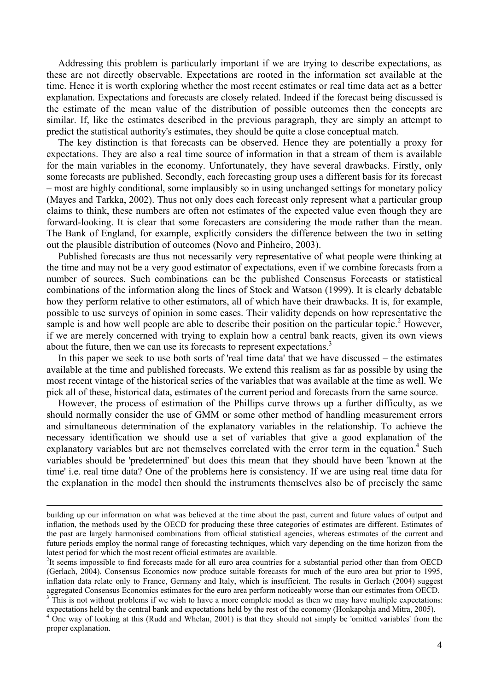Addressing this problem is particularly important if we are trying to describe expectations, as these are not directly observable. Expectations are rooted in the information set available at the time. Hence it is worth exploring whether the most recent estimates or real time data act as a better explanation. Expectations and forecasts are closely related. Indeed if the forecast being discussed is the estimate of the mean value of the distribution of possible outcomes then the concepts are similar. If, like the estimates described in the previous paragraph, they are simply an attempt to predict the statistical authority's estimates, they should be quite a close conceptual match.

The key distinction is that forecasts can be observed. Hence they are potentially a proxy for expectations. They are also a real time source of information in that a stream of them is available for the main variables in the economy. Unfortunately, they have several drawbacks. Firstly, only some forecasts are published. Secondly, each forecasting group uses a different basis for its forecast – most are highly conditional, some implausibly so in using unchanged settings for monetary policy (Mayes and Tarkka, 2002). Thus not only does each forecast only represent what a particular group claims to think, these numbers are often not estimates of the expected value even though they are forward-looking. It is clear that some forecasters are considering the mode rather than the mean. The Bank of England, for example, explicitly considers the difference between the two in setting out the plausible distribution of outcomes (Novo and Pinheiro, 2003).

Published forecasts are thus not necessarily very representative of what people were thinking at the time and may not be a very good estimator of expectations, even if we combine forecasts from a number of sources. Such combinations can be the published Consensus Forecasts or statistical combinations of the information along the lines of Stock and Watson (1999). It is clearly debatable how they perform relative to other estimators, all of which have their drawbacks. It is, for example, possible to use surveys of opinion in some cases. Their validity depends on how representative the sample is and how well people are able to describe their position on the particular topic.<sup>2</sup> However, if we are merely concerned with trying to explain how a central bank reacts, given its own views about the future, then we can use its forecasts to represent expectations.<sup>3</sup>

In this paper we seek to use both sorts of 'real time data' that we have discussed – the estimates available at the time and published forecasts. We extend this realism as far as possible by using the most recent vintage of the historical series of the variables that was available at the time as well. We pick all of these, historical data, estimates of the current period and forecasts from the same source.

However, the process of estimation of the Phillips curve throws up a further difficulty, as we should normally consider the use of GMM or some other method of handling measurement errors and simultaneous determination of the explanatory variables in the relationship. To achieve the necessary identification we should use a set of variables that give a good explanation of the explanatory variables but are not themselves correlated with the error term in the equation.<sup>4</sup> Such variables should be 'predetermined' but does this mean that they should have been 'known at the time' i.e. real time data? One of the problems here is consistency. If we are using real time data for the explanation in the model then should the instruments themselves also be of precisely the same

 $\overline{a}$ 

 This is not without problems if we wish to have a more complete model as then we may have multiple expectations: expectations held by the central bank and expectations held by the rest of the economy (Honkapohja and Mitra, 2005).

building up our information on what was believed at the time about the past, current and future values of output and inflation, the methods used by the OECD for producing these three categories of estimates are different. Estimates of the past are largely harmonised combinations from official statistical agencies, whereas estimates of the current and future periods employ the normal range of forecasting techniques, which vary depending on the time horizon from the latest period for which the most recent official estimates are available.

<sup>&</sup>lt;sup>2</sup>It seems impossible to find forecasts made for all euro area countries for a substantial period other than from OECD (Gerlach, 2004). Consensus Economics now produce suitable forecasts for much of the euro area but prior to 1995, inflation data relate only to France, Germany and Italy, which is insufficient. The results in Gerlach (2004) suggest aggregated Consensus Economics estimates for the euro area perform noticeably worse than our estimates from OECD. 3

<sup>&</sup>lt;sup>4</sup> One way of looking at this (Rudd and Whelan, 2001) is that they should not simply be 'omitted variables' from the proper explanation.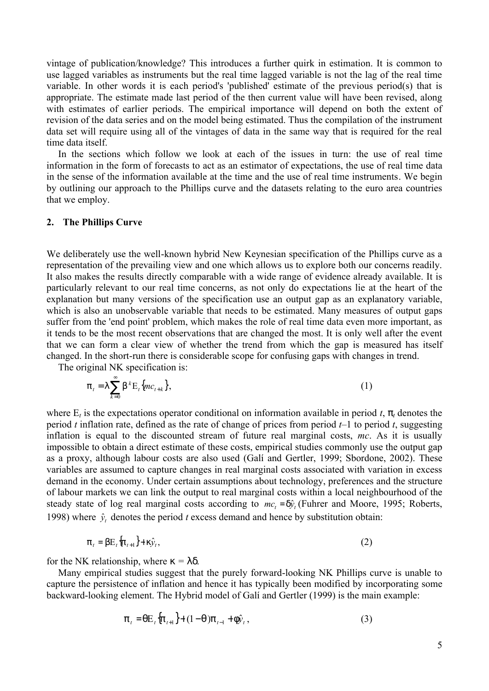vintage of publication/knowledge? This introduces a further quirk in estimation. It is common to use lagged variables as instruments but the real time lagged variable is not the lag of the real time variable. In other words it is each period's 'published' estimate of the previous period(s) that is appropriate. The estimate made last period of the then current value will have been revised, along with estimates of earlier periods. The empirical importance will depend on both the extent of revision of the data series and on the model being estimated. Thus the compilation of the instrument data set will require using all of the vintages of data in the same way that is required for the real time data itself.

In the sections which follow we look at each of the issues in turn: the use of real time information in the form of forecasts to act as an estimator of expectations, the use of real time data in the sense of the information available at the time and the use of real time instruments. We begin by outlining our approach to the Phillips curve and the datasets relating to the euro area countries that we employ.

#### **2. The Phillips Curve**

We deliberately use the well-known hybrid New Keynesian specification of the Phillips curve as a representation of the prevailing view and one which allows us to explore both our concerns readily. It also makes the results directly comparable with a wide range of evidence already available. It is particularly relevant to our real time concerns, as not only do expectations lie at the heart of the explanation but many versions of the specification use an output gap as an explanatory variable, which is also an unobservable variable that needs to be estimated. Many measures of output gaps suffer from the 'end point' problem, which makes the role of real time data even more important, as it tends to be the most recent observations that are changed the most. It is only well after the event that we can form a clear view of whether the trend from which the gap is measured has itself changed. In the short-run there is considerable scope for confusing gaps with changes in trend.

The original NK specification is:

$$
\mathsf{p}_t = \mathsf{I} \sum_{k=0}^{\infty} \mathsf{b}^k \mathsf{E}_t \{ m c_{t+k} \},\tag{1}
$$

where  $E_t$  is the expectations operator conditional on information available in period *t*,  $p_t$  denotes the period *t* inflation rate, defined as the rate of change of prices from period *t*–1 to period *t*, suggesting inflation is equal to the discounted stream of future real marginal costs, *mc*. As it is usually impossible to obtain a direct estimate of these costs, empirical studies commonly use the output gap as a proxy, although labour costs are also used (Galí and Gertler, 1999; Sbordone, 2002). These variables are assumed to capture changes in real marginal costs associated with variation in excess demand in the economy. Under certain assumptions about technology, preferences and the structure of labour markets we can link the output to real marginal costs within a local neighbourhood of the steady state of log real marginal costs according to  $mc_t = d\hat{y}$ , (Fuhrer and Moore, 1995; Roberts, 1998) where  $\hat{y}_t$  denotes the period *t* excess demand and hence by substitution obtain:

$$
\mathsf{p}_t = \mathsf{b} \mathsf{E}_t \{ \mathsf{p}_{t+1} \} + \mathsf{k} \hat{\mathsf{y}}_t,\tag{2}
$$

for the NK relationship, where  $k = 1d$ .

Many empirical studies suggest that the purely forward-looking NK Phillips curve is unable to capture the persistence of inflation and hence it has typically been modified by incorporating some backward-looking element. The Hybrid model of Galí and Gertler (1999) is the main example:

$$
p_{t} = qE_{t} \{p_{t+1}\} + (1-q)p_{t-1} + f\hat{y}_{t},
$$
\n(3)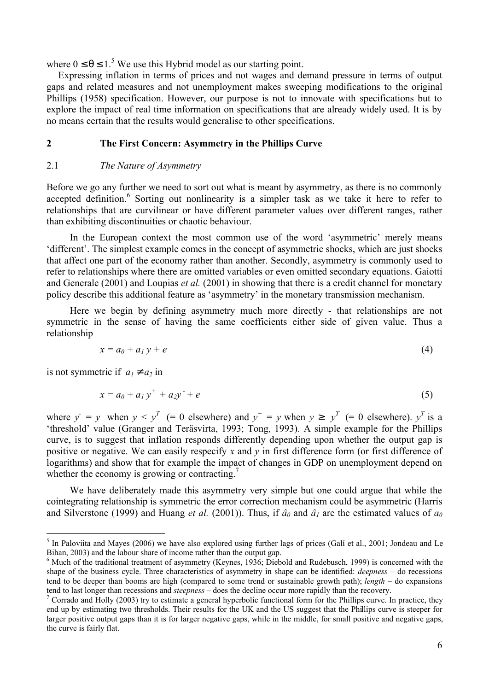where  $0 \le q \le 1$ .<sup>5</sup> We use this Hybrid model as our starting point.

Expressing inflation in terms of prices and not wages and demand pressure in terms of output gaps and related measures and not unemployment makes sweeping modifications to the original Phillips (1958) specification. However, our purpose is not to innovate with specifications but to explore the impact of real time information on specifications that are already widely used. It is by no means certain that the results would generalise to other specifications.

#### **2 The First Concern: Asymmetry in the Phillips Curve**

#### 2.1 *The Nature of Asymmetry*

Before we go any further we need to sort out what is meant by asymmetry, as there is no commonly accepted definition.<sup>6</sup> Sorting out nonlinearity is a simpler task as we take it here to refer to relationships that are curvilinear or have different parameter values over different ranges, rather than exhibiting discontinuities or chaotic behaviour.

In the European context the most common use of the word 'asymmetric' merely means 'different'. The simplest example comes in the concept of asymmetric shocks, which are just shocks that affect one part of the economy rather than another. Secondly, asymmetry is commonly used to refer to relationships where there are omitted variables or even omitted secondary equations. Gaiotti and Generale (2001) and Loupias *et al.* (2001) in showing that there is a credit channel for monetary policy describe this additional feature as 'asymmetry' in the monetary transmission mechanism.

Here we begin by defining asymmetry much more directly - that relationships are not symmetric in the sense of having the same coefficients either side of given value. Thus a relationship

$$
x = a_0 + a_1 y + e \tag{4}
$$

is not symmetric if  $a_1$ <sup>1</sup>  $a_2$  in

 $\overline{a}$ 

$$
x = a_0 + a_1 y^+ + a_2 y^- + e \tag{5}
$$

where  $y = y$  when  $y \le y^T$  (= 0 elsewhere) and  $y^+ = y$  when  $y \ge y^T$  (= 0 elsewhere).  $y^T$  is a 'threshold' value (Granger and Teräsvirta, 1993; Tong, 1993). A simple example for the Phillips curve, is to suggest that inflation responds differently depending upon whether the output gap is positive or negative. We can easily respecify *x* and *y* in first difference form (or first difference of logarithms) and show that for example the impact of changes in GDP on unemployment depend on whether the economy is growing or contracting.<sup>7</sup>

We have deliberately made this asymmetry very simple but one could argue that while the cointegrating relationship is symmetric the error correction mechanism could be asymmetric (Harris and Silverstone (1999) and Huang *et al.* (2001)). Thus, if  $\hat{a}_0$  and  $\hat{a}_1$  are the estimated values of  $a_0$ 

 $<sup>5</sup>$  In Paloviita and Mayes (2006) we have also explored using further lags of prices (Galí et al., 2001; Jondeau and Le</sup> Bihan, 2003) and the labour share of income rather than the output gap.

<sup>&</sup>lt;sup>6</sup> Much of the traditional treatment of asymmetry (Keynes, 1936; Diebold and Rudebusch, 1999) is concerned with the shape of the business cycle. Three characteristics of asymmetry in shape can be identified: *deepness* – do recessions tend to be deeper than booms are high (compared to some trend or sustainable growth path); *length* – do expansions tend to last longer than recessions and *steepness* – does the decline occur more rapidly than the recovery.

 $^7$  Corrado and Holly (2003) try to estimate a general hyperbolic functional form for the Phillips curve. In practice, they end up by estimating two thresholds. Their results for the UK and the US suggest that the Phillips curve is steeper for larger positive output gaps than it is for larger negative gaps, while in the middle, for small positive and negative gaps, the curve is fairly flat.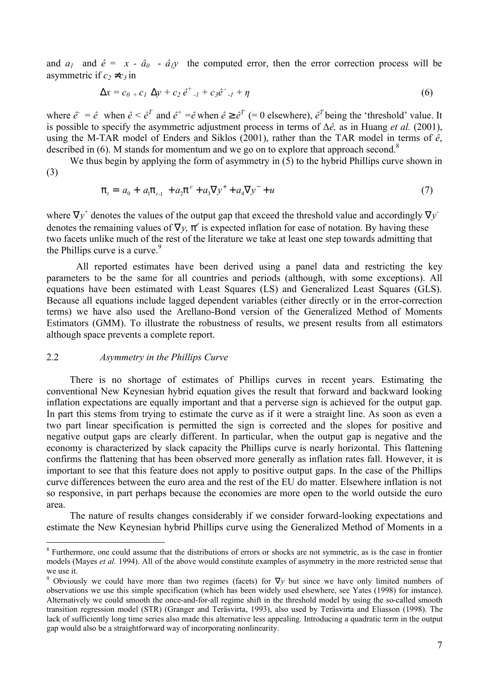and  $a_1$  and  $\hat{e} = x - \hat{a}_0 - \hat{a}_1y$  the computed error, then the error correction process will be asymmetric if  $c_2 \neq c_3$  in

$$
\Delta x = c_{0} + c_{1} Dy + c_{2} e^{+} - 1 + c_{3} e^{-} - 1 + \eta
$$
\n(6)

where  $\hat{e} = \hat{e}$  when  $\hat{e} < \hat{e}^T$  and  $\hat{e}^+ = \hat{e}$  when  $\hat{e} \geq \hat{e}^T$  (= 0 elsewhere),  $\hat{e}^T$  being the 'threshold' value. It is possible to specify the asymmetric adjustment process in terms of ∆*ê,* as in Huang *et al.* (2001), using the M-TAR model of Enders and Siklos (2001), rather than the TAR model in terms of *ê*, described in  $(6)$ . M stands for momentum and we go on to explore that approach second.<sup>8</sup>

We thus begin by applying the form of asymmetry in  $(5)$  to the hybrid Phillips curve shown in (3)

$$
p_{t} = a_{0} + a_{1}p_{t-1} + a_{2}p^{e} + a_{3} \nabla y^{+} + a_{4} \nabla y^{-} + u
$$
\n(7)

where  $\nabla y^+$  denotes the values of the output gap that exceed the threshold value and accordingly  $\nabla y^$ denotes the remaining values of  $\nabla y$ ,  $p^e$  is expected inflation for ease of notation. By having these two facets unlike much of the rest of the literature we take at least one step towards admitting that the Phillips curve is a curve. $9$ 

All reported estimates have been derived using a panel data and restricting the key parameters to be the same for all countries and periods (although, with some exceptions). All equations have been estimated with Least Squares (LS) and Generalized Least Squares (GLS). Because all equations include lagged dependent variables (either directly or in the error-correction terms) we have also used the Arellano-Bond version of the Generalized Method of Moments Estimators (GMM). To illustrate the robustness of results, we present results from all estimators although space prevents a complete report.

#### 2.2 *Asymmetry in the Phillips Curve*

 $\overline{a}$ 

There is no shortage of estimates of Phillips curves in recent years. Estimating the conventional New Keynesian hybrid equation gives the result that forward and backward looking inflation expectations are equally important and that a perverse sign is achieved for the output gap. In part this stems from trying to estimate the curve as if it were a straight line. As soon as even a two part linear specification is permitted the sign is corrected and the slopes for positive and negative output gaps are clearly different. In particular, when the output gap is negative and the economy is characterized by slack capacity the Phillips curve is nearly horizontal. This flattening confirms the flattening that has been observed more generally as inflation rates fall. However, it is important to see that this feature does not apply to positive output gaps. In the case of the Phillips curve differences between the euro area and the rest of the EU do matter. Elsewhere inflation is not so responsive, in part perhaps because the economies are more open to the world outside the euro area.

The nature of results changes considerably if we consider forward-looking expectations and estimate the New Keynesian hybrid Phillips curve using the Generalized Method of Moments in a

<sup>&</sup>lt;sup>8</sup> Furthermore, one could assume that the distributions of errors or shocks are not symmetric, as is the case in frontier models (Mayes *et al.* 1994). All of the above would constitute examples of asymmetry in the more restricted sense that we use it.

<sup>9</sup> Obviously we could have more than two regimes (facets) for ∇*y* but since we have only limited numbers of observations we use this simple specification (which has been widely used elsewhere, see Yates (1998) for instance). Alternatively we could smooth the once-and-for-all regime shift in the threshold model by using the so-called smooth transition regression model (STR) (Granger and Teräsvirta, 1993), also used by Teräsvirta and Eliasson (1998). The lack of sufficiently long time series also made this alternative less appealing. Introducing a quadratic term in the output gap would also be a straightforward way of incorporating nonlinearity.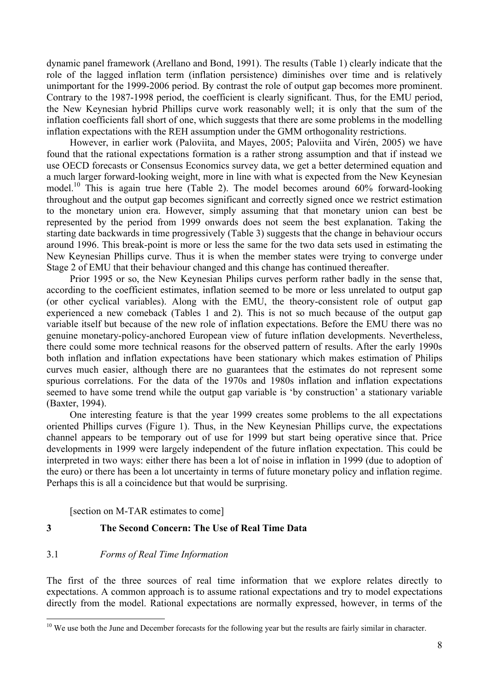dynamic panel framework (Arellano and Bond, 1991). The results (Table 1) clearly indicate that the role of the lagged inflation term (inflation persistence) diminishes over time and is relatively unimportant for the 1999-2006 period. By contrast the role of output gap becomes more prominent. Contrary to the 1987-1998 period, the coefficient is clearly significant. Thus, for the EMU period, the New Keynesian hybrid Phillips curve work reasonably well; it is only that the sum of the inflation coefficients fall short of one, which suggests that there are some problems in the modelling inflation expectations with the REH assumption under the GMM orthogonality restrictions.

However, in earlier work (Paloviita, and Mayes, 2005; Paloviita and Virén, 2005) we have found that the rational expectations formation is a rather strong assumption and that if instead we use OECD forecasts or Consensus Economics survey data, we get a better determined equation and a much larger forward-looking weight, more in line with what is expected from the New Keynesian model.<sup>10</sup> This is again true here (Table 2). The model becomes around  $60\%$  forward-looking throughout and the output gap becomes significant and correctly signed once we restrict estimation to the monetary union era. However, simply assuming that that monetary union can best be represented by the period from 1999 onwards does not seem the best explanation. Taking the starting date backwards in time progressively (Table 3) suggests that the change in behaviour occurs around 1996. This break-point is more or less the same for the two data sets used in estimating the New Keynesian Phillips curve. Thus it is when the member states were trying to converge under Stage 2 of EMU that their behaviour changed and this change has continued thereafter.

Prior 1995 or so, the New Keynesian Philips curves perform rather badly in the sense that, according to the coefficient estimates, inflation seemed to be more or less unrelated to output gap (or other cyclical variables). Along with the EMU, the theory-consistent role of output gap experienced a new comeback (Tables 1 and 2). This is not so much because of the output gap variable itself but because of the new role of inflation expectations. Before the EMU there was no genuine monetary-policy-anchored European view of future inflation developments. Nevertheless, there could some more technical reasons for the observed pattern of results. After the early 1990s both inflation and inflation expectations have been stationary which makes estimation of Philips curves much easier, although there are no guarantees that the estimates do not represent some spurious correlations. For the data of the 1970s and 1980s inflation and inflation expectations seemed to have some trend while the output gap variable is 'by construction' a stationary variable (Baxter, 1994).

One interesting feature is that the year 1999 creates some problems to the all expectations oriented Phillips curves (Figure 1). Thus, in the New Keynesian Phillips curve, the expectations channel appears to be temporary out of use for 1999 but start being operative since that. Price developments in 1999 were largely independent of the future inflation expectation. This could be interpreted in two ways: either there has been a lot of noise in inflation in 1999 (due to adoption of the euro) or there has been a lot uncertainty in terms of future monetary policy and inflation regime. Perhaps this is all a coincidence but that would be surprising.

[section on M-TAR estimates to come]

## **3 The Second Concern: The Use of Real Time Data**

## 3.1 *Forms of Real Time Information*

 $\overline{a}$ 

The first of the three sources of real time information that we explore relates directly to expectations. A common approach is to assume rational expectations and try to model expectations directly from the model. Rational expectations are normally expressed, however, in terms of the

<sup>&</sup>lt;sup>10</sup> We use both the June and December forecasts for the following year but the results are fairly similar in character.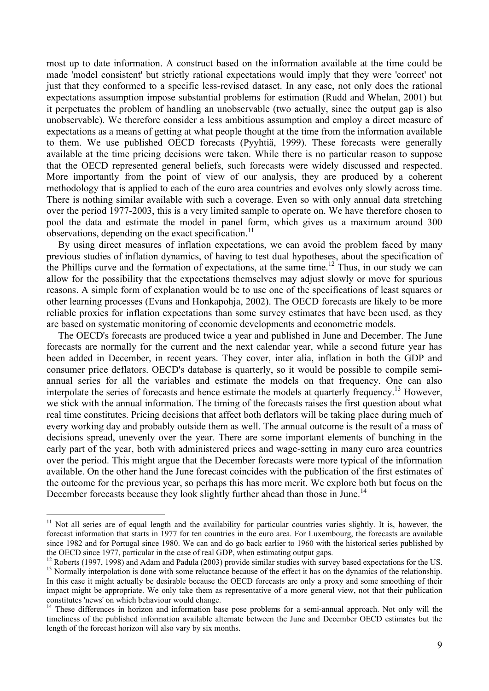most up to date information. A construct based on the information available at the time could be made 'model consistent' but strictly rational expectations would imply that they were 'correct' not just that they conformed to a specific less-revised dataset. In any case, not only does the rational expectations assumption impose substantial problems for estimation (Rudd and Whelan, 2001) but it perpetuates the problem of handling an unobservable (two actually, since the output gap is also unobservable). We therefore consider a less ambitious assumption and employ a direct measure of expectations as a means of getting at what people thought at the time from the information available to them. We use published OECD forecasts (Pyyhtiä, 1999). These forecasts were generally available at the time pricing decisions were taken. While there is no particular reason to suppose that the OECD represented general beliefs, such forecasts were widely discussed and respected. More importantly from the point of view of our analysis, they are produced by a coherent methodology that is applied to each of the euro area countries and evolves only slowly across time. There is nothing similar available with such a coverage. Even so with only annual data stretching over the period 1977-2003, this is a very limited sample to operate on. We have therefore chosen to pool the data and estimate the model in panel form, which gives us a maximum around 300 observations, depending on the exact specification.<sup>11</sup>

By using direct measures of inflation expectations, we can avoid the problem faced by many previous studies of inflation dynamics, of having to test dual hypotheses, about the specification of the Phillips curve and the formation of expectations, at the same time.<sup>12</sup> Thus, in our study we can allow for the possibility that the expectations themselves may adjust slowly or move for spurious reasons. A simple form of explanation would be to use one of the specifications of least squares or other learning processes (Evans and Honkapohja, 2002). The OECD forecasts are likely to be more reliable proxies for inflation expectations than some survey estimates that have been used, as they are based on systematic monitoring of economic developments and econometric models.

The OECD's forecasts are produced twice a year and published in June and December. The June forecasts are normally for the current and the next calendar year, while a second future year has been added in December, in recent years. They cover, inter alia, inflation in both the GDP and consumer price deflators. OECD's database is quarterly, so it would be possible to compile semiannual series for all the variables and estimate the models on that frequency. One can also interpolate the series of forecasts and hence estimate the models at quarterly frequency.<sup>13</sup> However, we stick with the annual information. The timing of the forecasts raises the first question about what real time constitutes. Pricing decisions that affect both deflators will be taking place during much of every working day and probably outside them as well. The annual outcome is the result of a mass of decisions spread, unevenly over the year. There are some important elements of bunching in the early part of the year, both with administered prices and wage-setting in many euro area countries over the period. This might argue that the December forecasts were more typical of the information available. On the other hand the June forecast coincides with the publication of the first estimates of the outcome for the previous year, so perhaps this has more merit. We explore both but focus on the December forecasts because they look slightly further ahead than those in June.<sup>14</sup>

<sup>&</sup>lt;sup>11</sup> Not all series are of equal length and the availability for particular countries varies slightly. It is, however, the forecast information that starts in 1977 for ten countries in the euro area. For Luxembourg, the forecasts are available since 1982 and for Portugal since 1980. We can and do go back earlier to 1960 with the historical series published by the OECD since 1977, particular in the case of real GDP, when estimating output gaps.

<sup>&</sup>lt;sup>12</sup> Roberts (1997, 1998) and Adam and Padula (2003) provide similar studies with survey based expectations for the US. <sup>13</sup> Normally interpolation is done with some reluctance because of the effect it has on the dynamics of the relationship. In this case it might actually be desirable because the OECD forecasts are only a proxy and some smoothing of their impact might be appropriate. We only take them as representative of a more general view, not that their publication constitutes 'news' on which behaviour would change.

<sup>&</sup>lt;sup>14</sup> These differences in horizon and information base pose problems for a semi-annual approach. Not only will the timeliness of the published information available alternate between the June and December OECD estimates but the length of the forecast horizon will also vary by six months.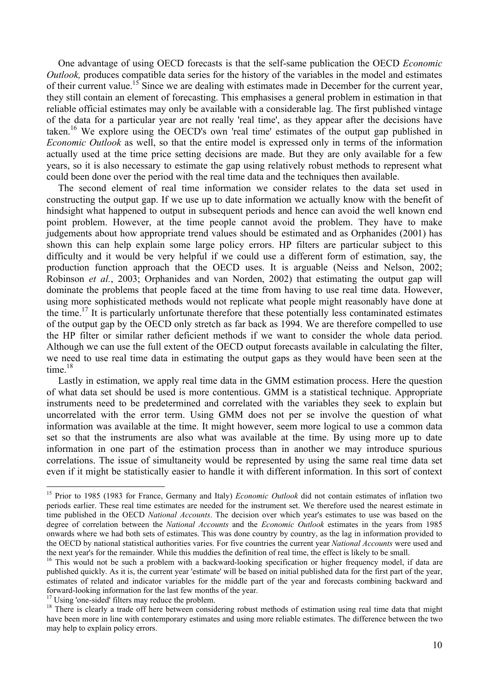One advantage of using OECD forecasts is that the self-same publication the OECD *Economic Outlook*, produces compatible data series for the history of the variables in the model and estimates of their current value.<sup>15</sup> Since we are dealing with estimates made in December for the current year, they still contain an element of forecasting. This emphasises a general problem in estimation in that reliable official estimates may only be available with a considerable lag. The first published vintage of the data for a particular year are not really 'real time', as they appear after the decisions have taken.<sup>16</sup> We explore using the OECD's own 'real time' estimates of the output gap published in *Economic Outlook* as well, so that the entire model is expressed only in terms of the information actually used at the time price setting decisions are made. But they are only available for a few years, so it is also necessary to estimate the gap using relatively robust methods to represent what could been done over the period with the real time data and the techniques then available.

The second element of real time information we consider relates to the data set used in constructing the output gap. If we use up to date information we actually know with the benefit of hindsight what happened to output in subsequent periods and hence can avoid the well known end point problem. However, at the time people cannot avoid the problem. They have to make judgements about how appropriate trend values should be estimated and as Orphanides (2001) has shown this can help explain some large policy errors. HP filters are particular subject to this difficulty and it would be very helpful if we could use a different form of estimation, say, the production function approach that the OECD uses. It is arguable (Neiss and Nelson, 2002; Robinson *et al.*, 2003; Orphanides and van Norden, 2002) that estimating the output gap will dominate the problems that people faced at the time from having to use real time data. However, using more sophisticated methods would not replicate what people might reasonably have done at the time.<sup>17</sup> It is particularly unfortunate therefore that these potentially less contaminated estimates of the output gap by the OECD only stretch as far back as 1994. We are therefore compelled to use the HP filter or similar rather deficient methods if we want to consider the whole data period. Although we can use the full extent of the OECD output forecasts available in calculating the filter, we need to use real time data in estimating the output gaps as they would have been seen at the time $18$ 

Lastly in estimation, we apply real time data in the GMM estimation process. Here the question of what data set should be used is more contentious. GMM is a statistical technique. Appropriate instruments need to be predetermined and correlated with the variables they seek to explain but uncorrelated with the error term. Using GMM does not per se involve the question of what information was available at the time. It might however, seem more logical to use a common data set so that the instruments are also what was available at the time. By using more up to date information in one part of the estimation process than in another we may introduce spurious correlations. The issue of simultaneity would be represented by using the same real time data set even if it might be statistically easier to handle it with different information. In this sort of context

<sup>15</sup> Prior to 1985 (1983 for France, Germany and Italy) *Economic Outlook* did not contain estimates of inflation two periods earlier. These real time estimates are needed for the instrument set. We therefore used the nearest estimate in time published in the OECD *National Accounts*. The decision over which year's estimates to use was based on the degree of correlation between the *National Accounts* and the *Economic Outlook* estimates in the years from 1985 onwards where we had both sets of estimates. This was done country by country, as the lag in information provided to the OECD by national statistical authorities varies. For five countries the current year *National Accounts* were used and the next year's for the remainder. While this muddies the definition of real time, the effect is likely to be small.

<sup>&</sup>lt;sup>16</sup> This would not be such a problem with a backward-looking specification or higher frequency model, if data are published quickly. As it is, the current year 'estimate' will be based on initial published data for the first part of the year, estimates of related and indicator variables for the middle part of the year and forecasts combining backward and forward-looking information for the last few months of the year.

<sup>&</sup>lt;sup>17</sup> Using 'one-sided' filters may reduce the problem.

 $18$  There is clearly a trade off here between considering robust methods of estimation using real time data that might have been more in line with contemporary estimates and using more reliable estimates. The difference between the two may help to explain policy errors.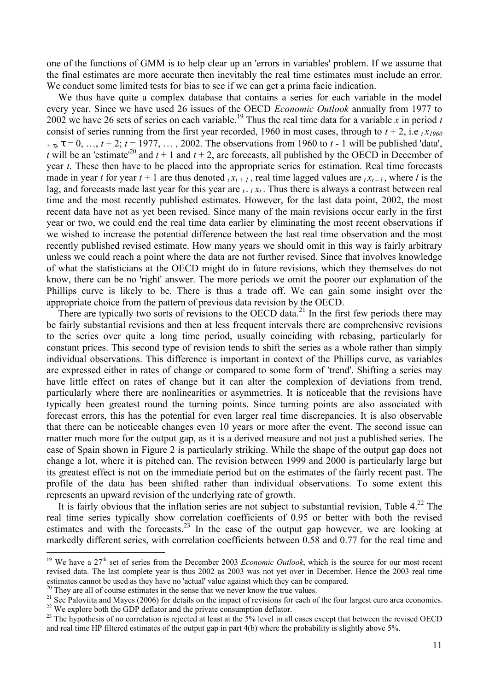one of the functions of GMM is to help clear up an 'errors in variables' problem. If we assume that the final estimates are more accurate then inevitably the real time estimates must include an error. We conduct some limited tests for bias to see if we can get a prima facie indication.

We thus have quite a complex database that contains a series for each variable in the model every year. Since we have used 26 issues of the OECD *Economic Outlook* annually from 1977 to 2002 we have 26 sets of series on each variable.<sup>19</sup> Thus the real time data for a variable x in period t consist of series running from the first year recorded, 1960 in most cases, through to  $t + 2$ , i.e  $_t x_{1960}$  $t_1, t_2, t_3, t_4, t_5, t_6, t_7, t_8, t_9, t_{10}$  to *t* - 1 will be published 'data', *t* will be an 'estimate'<sup>20</sup> and  $t + 1$  and  $t + 2$ , are forecasts, all published by the OECD in December of year *t*. These then have to be placed into the appropriate series for estimation. Real time forecasts made in year *t* for year  $t + 1$  are thus denoted  $_t x_{t+1}$ , real time lagged values are  $_t x_{t-1}$ , where *l* is the lag, and forecasts made last year for this year are  $t_1$   $\chi$ <sup>*t*</sup>. Thus there is always a contrast between real time and the most recently published estimates. However, for the last data point, 2002, the most recent data have not as yet been revised. Since many of the main revisions occur early in the first year or two, we could end the real time data earlier by eliminating the most recent observations if we wished to increase the potential difference between the last real time observation and the most recently published revised estimate. How many years we should omit in this way is fairly arbitrary unless we could reach a point where the data are not further revised. Since that involves knowledge of what the statisticians at the OECD might do in future revisions, which they themselves do not know, there can be no 'right' answer. The more periods we omit the poorer our explanation of the Phillips curve is likely to be. There is thus a trade off. We can gain some insight over the appropriate choice from the pattern of previous data revision by the OECD.

There are typically two sorts of revisions to the OECD data.<sup>21</sup> In the first few periods there may be fairly substantial revisions and then at less frequent intervals there are comprehensive revisions to the series over quite a long time period, usually coinciding with rebasing, particularly for constant prices. This second type of revision tends to shift the series as a whole rather than simply individual observations. This difference is important in context of the Phillips curve, as variables are expressed either in rates of change or compared to some form of 'trend'. Shifting a series may have little effect on rates of change but it can alter the complexion of deviations from trend, particularly where there are nonlinearities or asymmetries. It is noticeable that the revisions have typically been greatest round the turning points. Since turning points are also associated with forecast errors, this has the potential for even larger real time discrepancies. It is also observable that there can be noticeable changes even 10 years or more after the event. The second issue can matter much more for the output gap, as it is a derived measure and not just a published series. The case of Spain shown in Figure 2 is particularly striking. While the shape of the output gap does not change a lot, where it is pitched can. The revision between 1999 and 2000 is particularly large but its greatest effect is not on the immediate period but on the estimates of the fairly recent past. The profile of the data has been shifted rather than individual observations. To some extent this represents an upward revision of the underlying rate of growth.

It is fairly obvious that the inflation series are not subject to substantial revision, Table  $4.^{22}$  The real time series typically show correlation coefficients of 0.95 or better with both the revised estimates and with the forecasts.<sup>23</sup> In the case of the output gap however, we are looking at markedly different series, with correlation coefficients between 0.58 and 0.77 for the real time and

<sup>&</sup>lt;sup>19</sup> We have a 27<sup>th</sup> set of series from the December 2003 *Economic Outlook*, which is the source for our most recent revised data. The last complete year is thus 2002 as 2003 was not yet over in December. Hence the 2003 real time estimates cannot be used as they have no 'actual' value against which they can be compared.

<sup>&</sup>lt;sup>20</sup> They are all of course estimates in the sense that we never know the true values.

<sup>&</sup>lt;sup>21</sup> See Paloviita and Mayes (2006) for details on the impact of revisions for each of the four largest euro area economies. <sup>22</sup> We explore both the GDP deflator and the private consumption deflator.

<sup>&</sup>lt;sup>23</sup> The hypothesis of no correlation is rejected at least at the 5% level in all cases except that between the revised OECD and real time HP filtered estimates of the output gap in part 4(b) where the probability is slightly above 5%.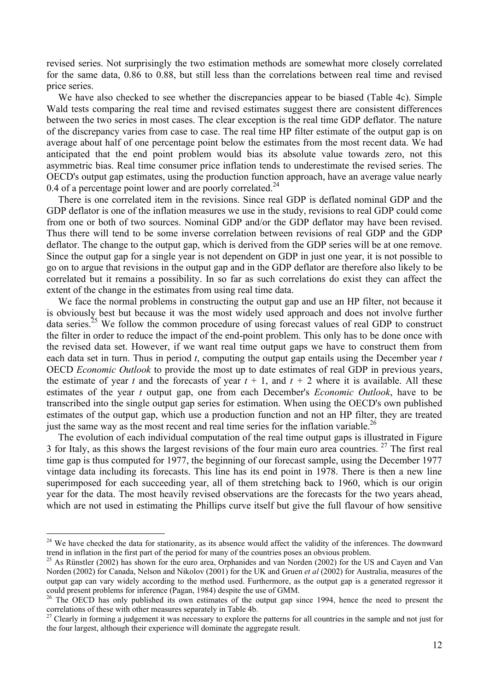revised series. Not surprisingly the two estimation methods are somewhat more closely correlated for the same data, 0.86 to 0.88, but still less than the correlations between real time and revised price series.

We have also checked to see whether the discrepancies appear to be biased (Table 4c). Simple Wald tests comparing the real time and revised estimates suggest there are consistent differences between the two series in most cases. The clear exception is the real time GDP deflator. The nature of the discrepancy varies from case to case. The real time HP filter estimate of the output gap is on average about half of one percentage point below the estimates from the most recent data. We had anticipated that the end point problem would bias its absolute value towards zero, not this asymmetric bias. Real time consumer price inflation tends to underestimate the revised series. The OECD's output gap estimates, using the production function approach, have an average value nearly 0.4 of a percentage point lower and are poorly correlated.<sup>24</sup>

There is one correlated item in the revisions. Since real GDP is deflated nominal GDP and the GDP deflator is one of the inflation measures we use in the study, revisions to real GDP could come from one or both of two sources. Nominal GDP and/or the GDP deflator may have been revised. Thus there will tend to be some inverse correlation between revisions of real GDP and the GDP deflator. The change to the output gap, which is derived from the GDP series will be at one remove. Since the output gap for a single year is not dependent on GDP in just one year, it is not possible to go on to argue that revisions in the output gap and in the GDP deflator are therefore also likely to be correlated but it remains a possibility. In so far as such correlations do exist they can affect the extent of the change in the estimates from using real time data.

We face the normal problems in constructing the output gap and use an HP filter, not because it is obviously best but because it was the most widely used approach and does not involve further data series.<sup>25</sup> We follow the common procedure of using forecast values of real GDP to construct the filter in order to reduce the impact of the end-point problem. This only has to be done once with the revised data set. However, if we want real time output gaps we have to construct them from each data set in turn. Thus in period *t*, computing the output gap entails using the December year *t* OECD *Economic Outlook* to provide the most up to date estimates of real GDP in previous years, the estimate of year *t* and the forecasts of year  $t + 1$ , and  $t + 2$  where it is available. All these estimates of the year *t* output gap, one from each December's *Economic Outlook*, have to be transcribed into the single output gap series for estimation. When using the OECD's own published estimates of the output gap, which use a production function and not an HP filter, they are treated just the same way as the most recent and real time series for the inflation variable.<sup>26</sup>

The evolution of each individual computation of the real time output gaps is illustrated in Figure 3 for Italy, as this shows the largest revisions of the four main euro area countries. <sup>27</sup> The first real time gap is thus computed for 1977, the beginning of our forecast sample, using the December 1977 vintage data including its forecasts. This line has its end point in 1978. There is then a new line superimposed for each succeeding year, all of them stretching back to 1960, which is our origin year for the data. The most heavily revised observations are the forecasts for the two years ahead, which are not used in estimating the Phillips curve itself but give the full flavour of how sensitive

 $24$  We have checked the data for stationarity, as its absence would affect the validity of the inferences. The downward trend in inflation in the first part of the period for many of the countries poses an obvious problem.

<sup>&</sup>lt;sup>25</sup> As Rünstler (2002) has shown for the euro area, Orphanides and van Norden (2002) for the US and Cayen and Van Norden (2002) for Canada, Nelson and Nikolov (2001) for the UK and Gruen *et al* (2002) for Australia, measures of the output gap can vary widely according to the method used. Furthermore, as the output gap is a generated regressor it could present problems for inference (Pagan, 1984) despite the use of GMM.

<sup>&</sup>lt;sup>26</sup> The OECD has only published its own estimates of the output gap since 1994, hence the need to present the correlations of these with other measures separately in Table 4b.

<sup>&</sup>lt;sup>27</sup> Clearly in forming a judgement it was necessary to explore the patterns for all countries in the sample and not just for the four largest, although their experience will dominate the aggregate result.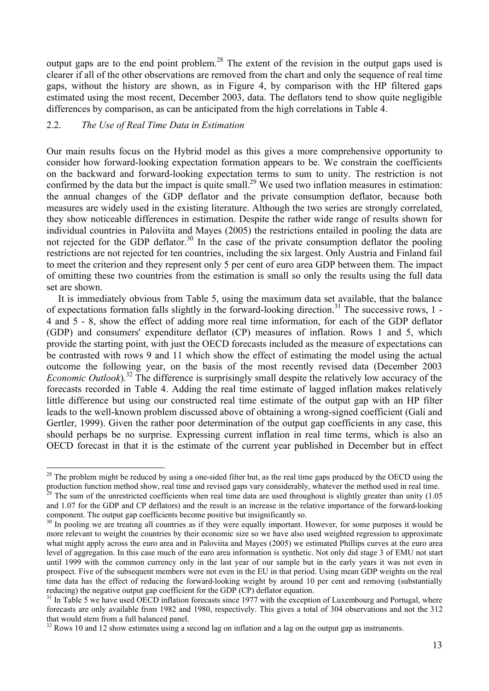output gaps are to the end point problem.<sup>28</sup> The extent of the revision in the output gaps used is clearer if all of the other observations are removed from the chart and only the sequence of real time gaps, without the history are shown, as in Figure 4, by comparison with the HP filtered gaps estimated using the most recent, December 2003, data. The deflators tend to show quite negligible differences by comparison, as can be anticipated from the high correlations in Table 4.

#### 2.2. *The Use of Real Time Data in Estimation*

Our main results focus on the Hybrid model as this gives a more comprehensive opportunity to consider how forward-looking expectation formation appears to be. We constrain the coefficients on the backward and forward-looking expectation terms to sum to unity. The restriction is not confirmed by the data but the impact is quite small.<sup>29</sup> We used two inflation measures in estimation: the annual changes of the GDP deflator and the private consumption deflator, because both measures are widely used in the existing literature. Although the two series are strongly correlated, they show noticeable differences in estimation. Despite the rather wide range of results shown for individual countries in Paloviita and Mayes (2005) the restrictions entailed in pooling the data are not rejected for the GDP deflator.<sup>30</sup> In the case of the private consumption deflator the pooling restrictions are not rejected for ten countries, including the six largest. Only Austria and Finland fail to meet the criterion and they represent only 5 per cent of euro area GDP between them. The impact of omitting these two countries from the estimation is small so only the results using the full data set are shown.

It is immediately obvious from Table 5, using the maximum data set available, that the balance of expectations formation falls slightly in the forward-looking direction.<sup>31</sup> The successive rows,  $1 -$ 4 and 5 - 8, show the effect of adding more real time information, for each of the GDP deflator (GDP) and consumers' expenditure deflator (CP) measures of inflation. Rows 1 and 5, which provide the starting point, with just the OECD forecasts included as the measure of expectations can be contrasted with rows 9 and 11 which show the effect of estimating the model using the actual outcome the following year, on the basis of the most recently revised data (December 2003 *Economic Outlook*).<sup>32</sup> The difference is surprisingly small despite the relatively low accuracy of the forecasts recorded in Table 4. Adding the real time estimate of lagged inflation makes relatively little difference but using our constructed real time estimate of the output gap with an HP filter leads to the well-known problem discussed above of obtaining a wrong-signed coefficient (Galí and Gertler, 1999). Given the rather poor determination of the output gap coefficients in any case, this should perhaps be no surprise. Expressing current inflation in real time terms, which is also an OECD forecast in that it is the estimate of the current year published in December but in effect

 $\overline{a}$ <sup>28</sup> The problem might be reduced by using a one-sided filter but, as the real time gaps produced by the OECD using the production function method show, real time and revised gaps vary considerably, whatever the method used in real time.

<sup>29</sup> The sum of the unrestricted coefficients when real time data are used throughout is slightly greater than unity (1.05 and 1.07 for the GDP and CP deflators) and the result is an increase in the relative importance of the forward-looking component. The output gap coefficients become positive but insignificantly so.

<sup>&</sup>lt;sup>30</sup> In pooling we are treating all countries as if they were equally important. However, for some purposes it would be more relevant to weight the countries by their economic size so we have also used weighted regression to approximate what might apply across the euro area and in Paloviita and Mayes (2005) we estimated Phillips curves at the euro area level of aggregation. In this case much of the euro area information is synthetic. Not only did stage 3 of EMU not start until 1999 with the common currency only in the last year of our sample but in the early years it was not even in prospect. Five of the subsequent members were not even in the EU in that period. Using mean GDP weights on the real time data has the effect of reducing the forward-looking weight by around 10 per cent and removing (substantially reducing) the negative output gap coefficient for the GDP (CP) deflator equation.

<sup>&</sup>lt;sup>31</sup> In Table 5 we have used OECD inflation forecasts since 1977 with the exception of Luxembourg and Portugal, where forecasts are only available from 1982 and 1980, respectively. This gives a total of 304 observations and not the 312 that would stem from a full balanced panel.

<sup>&</sup>lt;sup>32</sup> Rows 10 and 12 show estimates using a second lag on inflation and a lag on the output gap as instruments.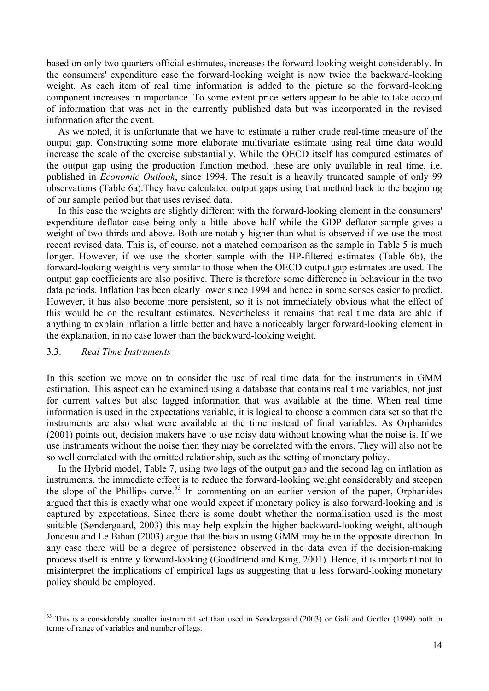based on only two quarters official estimates, increases the forward-looking weight considerably. In the consumers' expenditure case the forward-looking weight is now twice the backward-looking weight. As each item of real time information is added to the picture so the forward-looking component increases in importance. To some extent price setters appear to be able to take account of information that was not in the currently published data but was incorporated in the revised information after the event.

As we noted, it is unfortunate that we have to estimate a rather crude real-time measure of the output gap. Constructing some more elaborate multivariate estimate using real time data would increase the scale of the exercise substantially. While the OECD itself has computed estimates of the output gap using the production function method, these are only available in real time, i.e. published in *Economic Outlook*, since 1994. The result is a heavily truncated sample of only 99 observations (Table 6a).They have calculated output gaps using that method back to the beginning of our sample period but that uses revised data.

In this case the weights are slightly different with the forward-looking element in the consumers' expenditure deflator case being only a little above half while the GDP deflator sample gives a weight of two-thirds and above. Both are notably higher than what is observed if we use the most recent revised data. This is, of course, not a matched comparison as the sample in Table 5 is much longer. However, if we use the shorter sample with the HP-filtered estimates (Table 6b), the forward-looking weight is very similar to those when the OECD output gap estimates are used. The output gap coefficients are also positive. There is therefore some difference in behaviour in the two data periods. Inflation has been clearly lower since 1994 and hence in some senses easier to predict. However, it has also become more persistent, so it is not immediately obvious what the effect of this would be on the resultant estimates. Nevertheless it remains that real time data are able if anything to explain inflation a little better and have a noticeably larger forward-looking element in the explanation, in no case lower than the backward-looking weight.

#### 3.3. *Real Time Instruments*

 $\overline{a}$ 

In this section we move on to consider the use of real time data for the instruments in GMM estimation. This aspect can be examined using a database that contains real time variables, not just for current values but also lagged information that was available at the time. When real time information is used in the expectations variable, it is logical to choose a common data set so that the instruments are also what were available at the time instead of final variables. As Orphanides (2001) points out, decision makers have to use noisy data without knowing what the noise is. If we use instruments without the noise then they may be correlated with the errors. They will also not be so well correlated with the omitted relationship, such as the setting of monetary policy.

In the Hybrid model, Table 7, using two lags of the output gap and the second lag on inflation as instruments, the immediate effect is to reduce the forward-looking weight considerably and steepen the slope of the Phillips curve.<sup>33</sup> In commenting on an earlier version of the paper, Orphanides argued that this is exactly what one would expect if monetary policy is also forward-looking and is captured by expectations. Since there is some doubt whether the normalisation used is the most suitable (Søndergaard, 2003) this may help explain the higher backward-looking weight, although Jondeau and Le Bihan (2003) argue that the bias in using GMM may be in the opposite direction. In any case there will be a degree of persistence observed in the data even if the decision-making process itself is entirely forward-looking (Goodfriend and King, 2001). Hence, it is important not to misinterpret the implications of empirical lags as suggesting that a less forward-looking monetary policy should be employed.

<sup>&</sup>lt;sup>33</sup> This is a considerably smaller instrument set than used in Søndergaard (2003) or Galí and Gertler (1999) both in terms of range of variables and number of lags.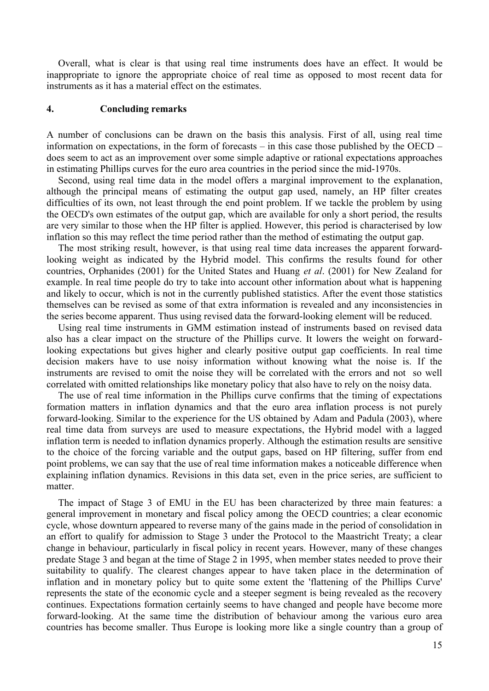Overall, what is clear is that using real time instruments does have an effect. It would be inappropriate to ignore the appropriate choice of real time as opposed to most recent data for instruments as it has a material effect on the estimates.

#### **4. Concluding remarks**

A number of conclusions can be drawn on the basis this analysis. First of all, using real time information on expectations, in the form of forecasts – in this case those published by the OECD – does seem to act as an improvement over some simple adaptive or rational expectations approaches in estimating Phillips curves for the euro area countries in the period since the mid-1970s.

Second, using real time data in the model offers a marginal improvement to the explanation, although the principal means of estimating the output gap used, namely, an HP filter creates difficulties of its own, not least through the end point problem. If we tackle the problem by using the OECD's own estimates of the output gap, which are available for only a short period, the results are very similar to those when the HP filter is applied. However, this period is characterised by low inflation so this may reflect the time period rather than the method of estimating the output gap.

The most striking result, however, is that using real time data increases the apparent forwardlooking weight as indicated by the Hybrid model. This confirms the results found for other countries, Orphanides (2001) for the United States and Huang *et al*. (2001) for New Zealand for example. In real time people do try to take into account other information about what is happening and likely to occur, which is not in the currently published statistics. After the event those statistics themselves can be revised as some of that extra information is revealed and any inconsistencies in the series become apparent. Thus using revised data the forward-looking element will be reduced.

Using real time instruments in GMM estimation instead of instruments based on revised data also has a clear impact on the structure of the Phillips curve. It lowers the weight on forwardlooking expectations but gives higher and clearly positive output gap coefficients. In real time decision makers have to use noisy information without knowing what the noise is. If the instruments are revised to omit the noise they will be correlated with the errors and not so well correlated with omitted relationships like monetary policy that also have to rely on the noisy data.

The use of real time information in the Phillips curve confirms that the timing of expectations formation matters in inflation dynamics and that the euro area inflation process is not purely forward-looking. Similar to the experience for the US obtained by Adam and Padula (2003), where real time data from surveys are used to measure expectations, the Hybrid model with a lagged inflation term is needed to inflation dynamics properly. Although the estimation results are sensitive to the choice of the forcing variable and the output gaps, based on HP filtering, suffer from end point problems, we can say that the use of real time information makes a noticeable difference when explaining inflation dynamics. Revisions in this data set, even in the price series, are sufficient to matter.

The impact of Stage 3 of EMU in the EU has been characterized by three main features: a general improvement in monetary and fiscal policy among the OECD countries; a clear economic cycle, whose downturn appeared to reverse many of the gains made in the period of consolidation in an effort to qualify for admission to Stage 3 under the Protocol to the Maastricht Treaty; a clear change in behaviour, particularly in fiscal policy in recent years. However, many of these changes predate Stage 3 and began at the time of Stage 2 in 1995, when member states needed to prove their suitability to qualify. The clearest changes appear to have taken place in the determination of inflation and in monetary policy but to quite some extent the 'flattening of the Phillips Curve' represents the state of the economic cycle and a steeper segment is being revealed as the recovery continues. Expectations formation certainly seems to have changed and people have become more forward-looking. At the same time the distribution of behaviour among the various euro area countries has become smaller. Thus Europe is looking more like a single country than a group of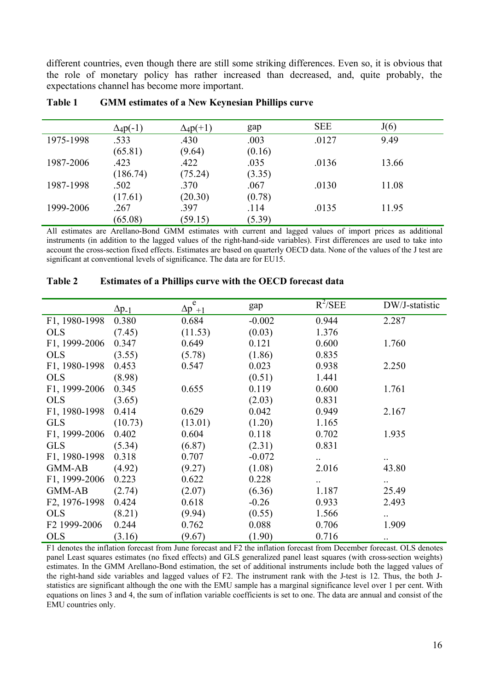different countries, even though there are still some striking differences. Even so, it is obvious that the role of monetary policy has rather increased than decreased, and, quite probably, the expectations channel has become more important.

|           | $\Delta_4$ p(-1) | $\Delta_4$ p(+1) | gap    | <b>SEE</b> | J(6)  |  |
|-----------|------------------|------------------|--------|------------|-------|--|
| 1975-1998 | .533             | .430             | .003   | .0127      | 9.49  |  |
|           | (65.81)          | (9.64)           | (0.16) |            |       |  |
| 1987-2006 | .423             | .422             | .035   | .0136      | 13.66 |  |
|           | (186.74)         | (75.24)          | (3.35) |            |       |  |
| 1987-1998 | .502             | .370             | .067   | .0130      | 11.08 |  |
|           | (17.61)          | (20.30)          | (0.78) |            |       |  |
| 1999-2006 | .267             | .397             | .114   | .0135      | 11.95 |  |
|           | (65.08)          | (59.15)          | (5.39) |            |       |  |

#### **Table 1 GMM estimates of a New Keynesian Phillips curve**

All estimates are Arellano-Bond GMM estimates with current and lagged values of import prices as additional instruments (in addition to the lagged values of the right-hand-side variables). First differences are used to take into account the cross-section fixed effects. Estimates are based on quarterly OECD data. None of the values of the J test are significant at conventional levels of significance. The data are for EU15.

|                            | $\Delta p_{-1}$ | e<br>$\Delta p$ <sup>-</sup> +1 | gap      | $R^2/SEE$ | DW/J-statistic |
|----------------------------|-----------------|---------------------------------|----------|-----------|----------------|
| F1, 1980-1998              | 0.380           | 0.684                           | $-0.002$ | 0.944     | 2.287          |
| OLS                        | (7.45)          | (11.53)                         | (0.03)   | 1.376     |                |
| F1, 1999-2006              | 0.347           | 0.649                           | 0.121    | 0.600     | 1.760          |
| OLS                        | (3.55)          | (5.78)                          | (1.86)   | 0.835     |                |
| F1, 1980-1998              | 0.453           | 0.547                           | 0.023    | 0.938     | 2.250          |
| <b>OLS</b>                 | (8.98)          |                                 | (0.51)   | 1.441     |                |
| F1, 1999-2006              | 0.345           | 0.655                           | 0.119    | 0.600     | 1.761          |
| OLS.                       | (3.65)          |                                 | (2.03)   | 0.831     |                |
| F1, 1980-1998              | 0.414           | 0.629                           | 0.042    | 0.949     | 2.167          |
| <b>GLS</b>                 | (10.73)         | (13.01)                         | (1.20)   | 1.165     |                |
| F1, 1999-2006              | 0.402           | 0.604                           | 0.118    | 0.702     | 1.935          |
| <b>GLS</b>                 | (5.34)          | (6.87)                          | (2.31)   | 0.831     |                |
| F1, 1980-1998              | 0.318           | 0.707                           | $-0.072$ | $\ddotsc$ |                |
| GMM-AB                     | (4.92)          | (9.27)                          | (1.08)   | 2.016     | 43.80          |
| F1, 1999-2006              | 0.223           | 0.622                           | 0.228    | $\ddotsc$ |                |
| <b>GMM-AB</b>              | (2.74)          | (2.07)                          | (6.36)   | 1.187     | 25.49          |
| F <sub>2</sub> , 1976-1998 | 0.424           | 0.618                           | $-0.26$  | 0.933     | 2.493          |
| <b>OLS</b>                 | (8.21)          | (9.94)                          | (0.55)   | 1.566     |                |
| F <sub>2</sub> 1999-2006   | 0.244           | 0.762                           | 0.088    | 0.706     | 1.909          |
| <b>OLS</b>                 | (3.16)          | (9.67)                          | (1.90)   | 0.716     | $\cdot$ .      |

#### **Table 2 Estimates of a Phillips curve with the OECD forecast data**

F1 denotes the inflation forecast from June forecast and F2 the inflation forecast from December forecast. OLS denotes panel Least squares estimates (no fixed effects) and GLS generalized panel least squares (with cross-section weights) estimates. In the GMM Arellano-Bond estimation, the set of additional instruments include both the lagged values of the right-hand side variables and lagged values of F2. The instrument rank with the J-test is 12. Thus, the both Jstatistics are significant although the one with the EMU sample has a marginal significance level over 1 per cent. With equations on lines 3 and 4, the sum of inflation variable coefficients is set to one. The data are annual and consist of the EMU countries only.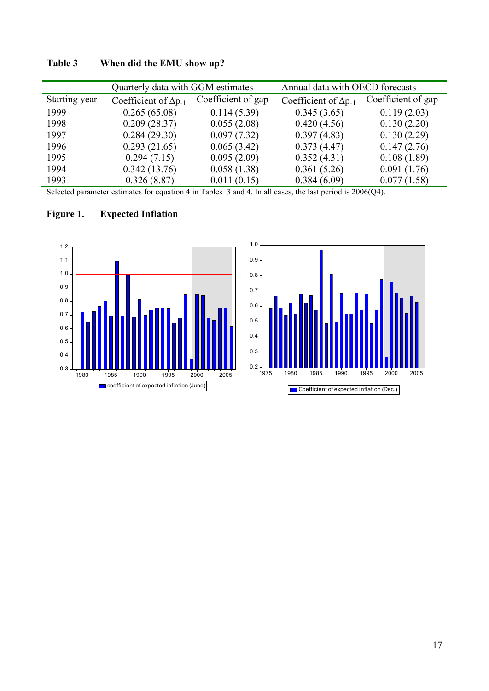|               | Quarterly data with GGM estimates |                    | Annual data with OECD forecasts |                    |  |
|---------------|-----------------------------------|--------------------|---------------------------------|--------------------|--|
| Starting year | Coefficient of $\Delta p_{-1}$    | Coefficient of gap | Coefficient of $\Delta p_{-1}$  | Coefficient of gap |  |
| 1999          | 0.265(65.08)                      | 0.114(5.39)        | 0.345(3.65)                     | 0.119(2.03)        |  |
| 1998          | 0.209(28.37)                      | 0.055(2.08)        | 0.420(4.56)                     | 0.130(2.20)        |  |
| 1997          | 0.284(29.30)                      | 0.097(7.32)        | 0.397(4.83)                     | 0.130(2.29)        |  |
| 1996          | 0.293(21.65)                      | 0.065(3.42)        | 0.373(4.47)                     | 0.147(2.76)        |  |
| 1995          | 0.294(7.15)                       | 0.095(2.09)        | 0.352(4.31)                     | 0.108(1.89)        |  |
| 1994          | 0.342(13.76)                      | 0.058(1.38)        | 0.361(5.26)                     | 0.091(1.76)        |  |
| 1993          | 0.326(8.87)                       | 0.011(0.15)        | 0.384(6.09)                     | 0.077(1.58)        |  |
|               |                                   |                    |                                 |                    |  |

## **Table 3 When did the EMU show up?**

Selected parameter estimates for equation 4 in Tables 3 and 4. In all cases, the last period is 2006(Q4).

## **Figure 1. Expected Inflation**



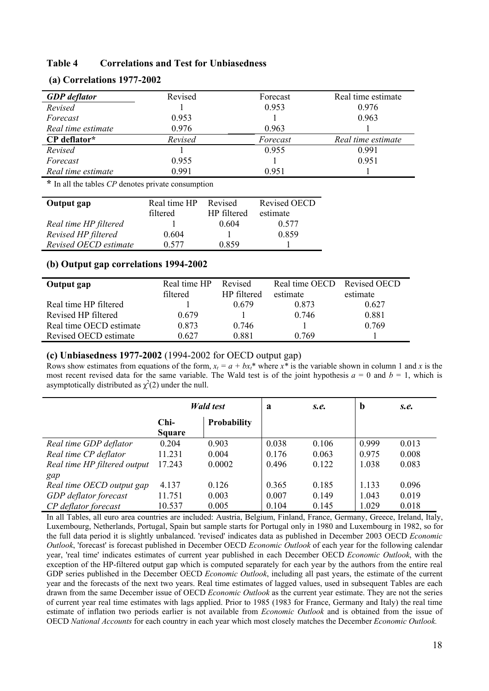### **Table 4 Correlations and Test for Unbiasedness**

| <b>GDP</b> deflator | Revised | Forecast | Real time estimate |
|---------------------|---------|----------|--------------------|
| Revised             |         | 0.953    | 0.976              |
| Forecast            | 0.953   |          | 0.963              |
| Real time estimate  | 0.976   | 0.963    |                    |
| CP deflator*        | Revised | Forecast | Real time estimate |
| Revised             |         | 0.955    | 0.991              |
| Forecast            | 0.955   |          | 0.951              |
| Real time estimate  | 0.991   | 0.951    |                    |

#### **(a) Correlations 1977-2002**

**\*** In all the tables *CP* denotes private consumption

| Output gap            | Real time HP | Revised     | Revised OECD |  |
|-----------------------|--------------|-------------|--------------|--|
|                       | filtered     | HP filtered | estimate     |  |
| Real time HP filtered |              | 0.604       | 0.577        |  |
| Revised HP filtered   | 0.604        |             | 0.859        |  |
| Revised OECD estimate | 0.577        | 0.859       |              |  |

#### **(b) Output gap correlations 1994-2002**

| Output gap              | Real time HP | Revised     | Real time OECD | <b>Revised OECD</b> |  |
|-------------------------|--------------|-------------|----------------|---------------------|--|
|                         | filtered     | HP filtered | estimate       | estimate            |  |
| Real time HP filtered   |              | 0.679       | 0.873          | 0.627               |  |
| Revised HP filtered     | 0.679        |             | 0.746          | 0.881               |  |
| Real time OECD estimate | 0.873        | 0.746       |                | 0.769               |  |
| Revised OECD estimate   | 0 627        | 0.881       | 0.769          |                     |  |

#### **(c) Unbiasedness 1977-2002** (1994-2002 for OECD output gap)

Rows show estimates from equations of the form,  $x_t = a + bx_t^*$  where  $x^*$  is the variable shown in column 1 and *x* is the most recent revised data for the same variable. The Wald test is of the joint hypothesis  $a = 0$  and  $b = 1$ , which is asymptotically distributed as  $\chi^2(2)$  under the null.

|                              | <b>Wald test</b> |             | a     | S.e.  | b     | S.e.  |
|------------------------------|------------------|-------------|-------|-------|-------|-------|
|                              | Chi-<br>Square   | Probability |       |       |       |       |
| Real time GDP deflator       | 0.204            | 0.903       | 0.038 | 0.106 | 0.999 | 0.013 |
| Real time CP deflator        | 11.231           | 0.004       | 0.176 | 0.063 | 0.975 | 0.008 |
| Real time HP filtered output | 17.243           | 0.0002      | 0.496 | 0.122 | 1.038 | 0.083 |
| gap                          |                  |             |       |       |       |       |
| Real time OECD output gap    | 4.137            | 0.126       | 0.365 | 0.185 | 1.133 | 0.096 |
| GDP deflator forecast        | 11.751           | 0.003       | 0.007 | 0.149 | 1.043 | 0.019 |
| CP deflator forecast         | 10.537           | 0.005       | 0.104 | 0.145 | 1.029 | 0.018 |

In all Tables, all euro area countries are included: Austria, Belgium, Finland, France, Germany, Greece, Ireland, Italy, Luxembourg, Netherlands, Portugal, Spain but sample starts for Portugal only in 1980 and Luxembourg in 1982, so for the full data period it is slightly unbalanced. 'revised' indicates data as published in December 2003 OECD *Economic Outlook*, 'forecast' is forecast published in December OECD *Economic Outlook* of each year for the following calendar year, 'real time' indicates estimates of current year published in each December OECD *Economic Outlook*, with the exception of the HP-filtered output gap which is computed separately for each year by the authors from the entire real GDP series published in the December OECD *Economic Outlook*, including all past years, the estimate of the current year and the forecasts of the next two years. Real time estimates of lagged values, used in subsequent Tables are each drawn from the same December issue of OECD *Economic Outlook* as the current year estimate. They are not the series of current year real time estimates with lags applied. Prior to 1985 (1983 for France, Germany and Italy) the real time estimate of inflation two periods earlier is not available from *Economic Outlook* and is obtained from the issue of OECD *National Accounts* for each country in each year which most closely matches the December *Economic Outlook.*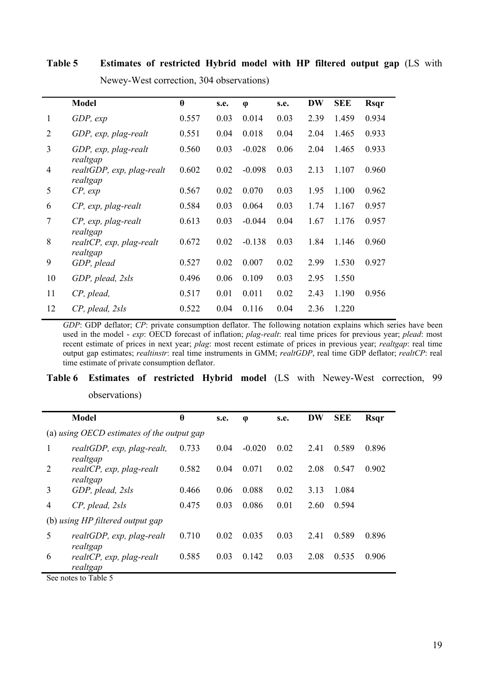# **Table 5 Estimates of restricted Hybrid model with HP filtered output gap** (LS with Newey-West correction, 304 observations)

|                | <b>Model</b>                          | $\theta$ | s.e. | $\phi$   | s.e. | <b>DW</b> | <b>SEE</b> | <b>Rsqr</b> |
|----------------|---------------------------------------|----------|------|----------|------|-----------|------------|-------------|
| 1              | $GDP$ , $exp$                         | 0.557    | 0.03 | 0.014    | 0.03 | 2.39      | 1.459      | 0.934       |
| $\overline{2}$ | GDP, exp, plag-realt                  | 0.551    | 0.04 | 0.018    | 0.04 | 2.04      | 1.465      | 0.933       |
| $\overline{3}$ | GDP, exp, plag-realt<br>realtgap      | 0.560    | 0.03 | $-0.028$ | 0.06 | 2.04      | 1.465      | 0.933       |
| $\overline{4}$ | realtGDP, exp, plag-realt<br>realtgap | 0.602    | 0.02 | $-0.098$ | 0.03 | 2.13      | 1.107      | 0.960       |
| 5              | $CP$ , $exp$                          | 0.567    | 0.02 | 0.070    | 0.03 | 1.95      | 1.100      | 0.962       |
| 6              | CP, exp, plag-realt                   | 0.584    | 0.03 | 0.064    | 0.03 | 1.74      | 1.167      | 0.957       |
| 7              | CP, exp, plag-realt<br>realtgap       | 0.613    | 0.03 | $-0.044$ | 0.04 | 1.67      | 1.176      | 0.957       |
| 8              | realtCP, exp, plag-realt<br>realtgap  | 0.672    | 0.02 | $-0.138$ | 0.03 | 1.84      | 1.146      | 0.960       |
| 9              | GDP, plead                            | 0.527    | 0.02 | 0.007    | 0.02 | 2.99      | 1.530      | 0.927       |
| 10             | GDP, plead, 2sls                      | 0.496    | 0.06 | 0.109    | 0.03 | 2.95      | 1.550      |             |
| 11             | CP, plead,                            | 0.517    | 0.01 | 0.011    | 0.02 | 2.43      | 1.190      | 0.956       |
| 12             | CP, plead, 2sls                       | 0.522    | 0.04 | 0.116    | 0.04 | 2.36      | 1.220      |             |

*GDP*: GDP deflator; *CP*: private consumption deflator. The following notation explains which series have been used in the model - *exp*: OECD forecast of inflation; *plag-realt*: real time prices for previous year; *plead*: most recent estimate of prices in next year; *plag*: most recent estimate of prices in previous year; *realtgap*: real time output gap estimates; *realtinstr*: real time instruments in GMM; *realtGDP*, real time GDP deflator; *realtCP*: real time estimate of private consumption deflator.

# **Table 6 Estimates of restricted Hybrid model** (LS with Newey-West correction, 99 observations)

|                                            | <b>Model</b>                           | $\theta$ | s.e. | $\phi$   | s.e. | <b>DW</b> | <b>SEE</b> | <b>Rsqr</b> |
|--------------------------------------------|----------------------------------------|----------|------|----------|------|-----------|------------|-------------|
| (a) using OECD estimates of the output gap |                                        |          |      |          |      |           |            |             |
| $\mathbf{1}$                               | realtGDP, exp, plag-realt,<br>realtgap | 0.733    | 0.04 | $-0.020$ | 0.02 | 2.41      | 0.589      | 0.896       |
| 2                                          | realtCP, exp, plag-realt<br>realtgap   | 0.582    | 0.04 | 0.071    | 0.02 | 2.08      | 0.547      | 0.902       |
| 3                                          | GDP, plead, 2sls                       | 0.466    | 0.06 | 0.088    | 0.02 | 3.13      | 1.084      |             |
| 4                                          | CP, plead, 2sls                        | 0.475    | 0.03 | 0.086    | 0.01 | 2.60      | 0.594      |             |
|                                            | (b) using HP filtered output gap       |          |      |          |      |           |            |             |
| 5                                          | realtGDP, exp, plag-realt<br>realtgap  | 0.710    | 0.02 | 0.035    | 0.03 | 2.41      | 0.589      | 0.896       |
| 6                                          | realtCP, exp, plag-realt<br>realtgap   | 0.585    | 0.03 | 0.142    | 0.03 | 2.08      | 0.535      | 0.906       |

See notes to Table 5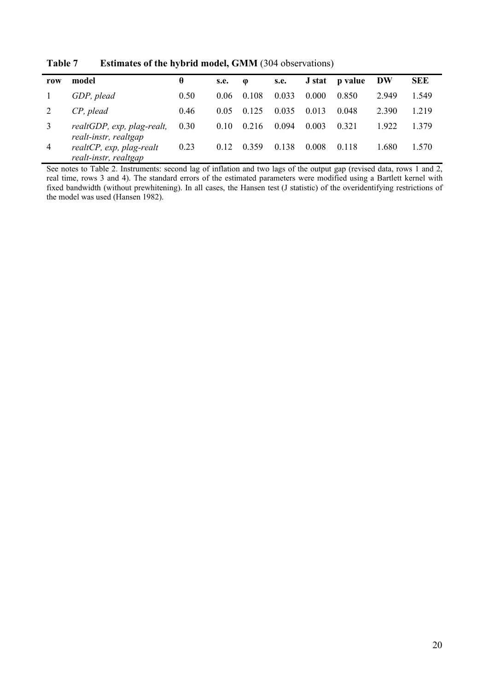| row            | model                                               | $\theta$ | <b>s.e.</b> | $\boldsymbol{\omega}$ | s.e.  | <b>J</b> stat | p value | <b>DW</b> | <b>SEE</b> |
|----------------|-----------------------------------------------------|----------|-------------|-----------------------|-------|---------------|---------|-----------|------------|
|                | GDP, plead                                          | 0.50     | 0.06        | 0.108                 | 0.033 | 0.000         | 0.850   | 2949      | 1.549      |
| 2              | $CP$ , plead                                        | 0.46     | 0.05        | 0.125                 | 0.035 | 0.013         | 0.048   | 2.390     | 1 2 1 9    |
| 3              | realtGDP, exp, plag-realt,<br>realt-instr, realtgap | 0.30     | 0.10        | 0.216                 | 0.094 | 0.003         | 0.321   | 1.922     | 1 379      |
| $\overline{4}$ | realtCP, exp, plag-realt<br>realt-instr, realtgap   | 0.23     | 0.12        | 0.359                 | 0.138 | 0.008         | 0.118   | 1.680     | 1.570      |

**Table 7 Estimates of the hybrid model, GMM** (304 observations)

See notes to Table 2. Instruments: second lag of inflation and two lags of the output gap (revised data, rows 1 and 2, real time, rows 3 and 4). The standard errors of the estimated parameters were modified using a Bartlett kernel with fixed bandwidth (without prewhitening). In all cases, the Hansen test (J statistic) of the overidentifying restrictions of the model was used (Hansen 1982).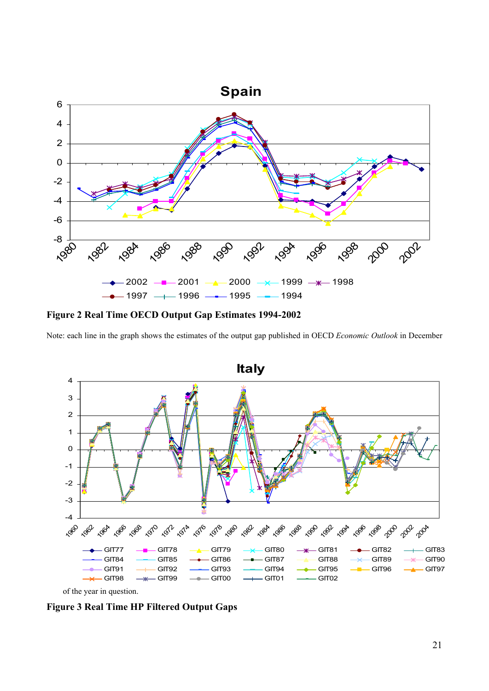

**Figure 2 Real Time OECD Output Gap Estimates 1994-2002**

Note: each line in the graph shows the estimates of the output gap published in OECD *Economic Outlook* in December



**Figure 3 Real Time HP Filtered Output Gaps**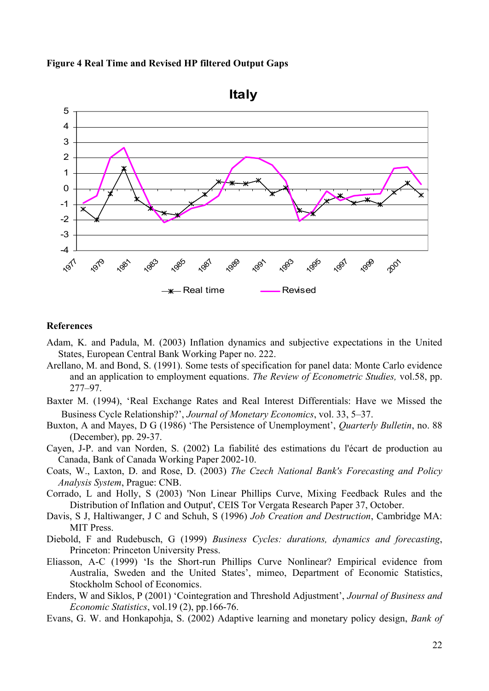#### **Figure 4 Real Time and Revised HP filtered Output Gaps**



### **References**

- Adam, K. and Padula, M. (2003) Inflation dynamics and subjective expectations in the United States, European Central Bank Working Paper no. 222.
- Arellano, M. and Bond, S. (1991). Some tests of specification for panel data: Monte Carlo evidence and an application to employment equations. *The Review of Econometric Studies,* vol.58, pp. 277–97.
- Baxter M. (1994), 'Real Exchange Rates and Real Interest Differentials: Have we Missed the Business Cycle Relationship?', *Journal of Monetary Economics*, vol. 33, 5–37.
- Buxton, A and Mayes, D G (1986) 'The Persistence of Unemployment', *Quarterly Bulletin*, no. 88 (December), pp. 29-37.
- Cayen, J-P. and van Norden, S. (2002) La fiabilité des estimations du l'écart de production au Canada, Bank of Canada Working Paper 2002-10.
- Coats, W., Laxton, D. and Rose, D. (2003) *The Czech National Bank's Forecasting and Policy Analysis System*, Prague: CNB.
- Corrado, L and Holly, S (2003) 'Non Linear Phillips Curve, Mixing Feedback Rules and the Distribution of Inflation and Output', CEIS Tor Vergata Research Paper 37, October.
- Davis, S J, Haltiwanger, J C and Schuh, S (1996) *Job Creation and Destruction*, Cambridge MA: MIT Press.
- Diebold, F and Rudebusch, G (1999) *Business Cycles: durations, dynamics and forecasting*, Princeton: Princeton University Press.
- Eliasson, A-C (1999) 'Is the Short-run Phillips Curve Nonlinear? Empirical evidence from Australia, Sweden and the United States', mimeo, Department of Economic Statistics, Stockholm School of Economics.
- Enders, W and Siklos, P (2001) 'Cointegration and Threshold Adjustment', *Journal of Business and Economic Statistics*, vol.19 (2), pp.166-76.
- Evans, G. W. and Honkapohja, S. (2002) Adaptive learning and monetary policy design, *Bank of*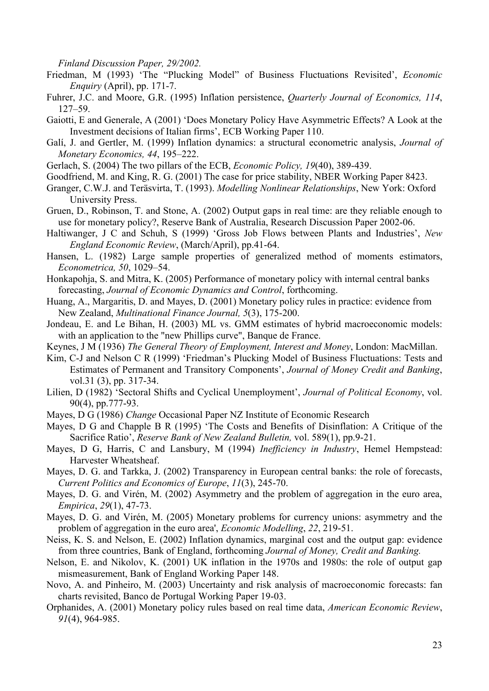*Finland Discussion Paper, 29/2002.*

- Friedman, M (1993) 'The "Plucking Model" of Business Fluctuations Revisited', *Economic Enquiry* (April), pp. 171-7.
- Fuhrer, J.C. and Moore, G.R. (1995) Inflation persistence, *Quarterly Journal of Economics, 114*, 127–59.
- Gaiotti, E and Generale, A (2001) 'Does Monetary Policy Have Asymmetric Effects? A Look at the Investment decisions of Italian firms', ECB Working Paper 110.
- Galí, J. and Gertler, M. (1999) Inflation dynamics: a structural econometric analysis, *Journal of Monetary Economics, 44*, 195–222.
- Gerlach, S. (2004) The two pillars of the ECB, *Economic Policy, 19*(40), 389-439.
- Goodfriend, M. and King, R. G. (2001) The case for price stability, NBER Working Paper 8423.
- Granger, C.W.J. and Teräsvirta, T. (1993). *Modelling Nonlinear Relationships*, New York: Oxford University Press.
- Gruen, D., Robinson, T. and Stone, A. (2002) Output gaps in real time: are they reliable enough to use for monetary policy?, Reserve Bank of Australia, Research Discussion Paper 2002-06.
- Haltiwanger, J C and Schuh, S (1999) 'Gross Job Flows between Plants and Industries', *New England Economic Review*, (March/April), pp.41-64.
- Hansen, L. (1982) Large sample properties of generalized method of moments estimators, *Econometrica, 50*, 1029–54.
- Honkapohja, S. and Mitra, K. (2005) Performance of monetary policy with internal central banks forecasting, *Journal of Economic Dynamics and Control*, forthcoming.
- Huang, A., Margaritis, D. and Mayes, D. (2001) Monetary policy rules in practice: evidence from New Zealand, *Multinational Finance Journal, 5*(3), 175-200.
- Jondeau, E. and Le Bihan, H. (2003) ML vs. GMM estimates of hybrid macroeconomic models: with an application to the "new Phillips curve", Banque de France.
- Keynes, J M (1936) *The General Theory of Employment, Interest and Money*, London: MacMillan.
- Kim, C-J and Nelson C R (1999) 'Friedman's Plucking Model of Business Fluctuations: Tests and Estimates of Permanent and Transitory Components', *Journal of Money Credit and Banking*, vol.31 (3), pp. 317-34.
- Lilien, D (1982) 'Sectoral Shifts and Cyclical Unemployment', *Journal of Political Economy*, vol. 90(4), pp.777-93.
- Mayes, D G (1986) *Change* Occasional Paper NZ Institute of Economic Research
- Mayes, D G and Chapple B R (1995) 'The Costs and Benefits of Disinflation: A Critique of the Sacrifice Ratio', *Reserve Bank of New Zealand Bulletin,* vol. 589(1), pp.9-21.
- Mayes, D G, Harris, C and Lansbury, M (1994) *Inefficiency in Industry*, Hemel Hempstead: Harvester Wheatsheaf.
- Mayes, D. G. and Tarkka, J. (2002) Transparency in European central banks: the role of forecasts, *Current Politics and Economics of Europe*, *11*(3), 245-70.
- Mayes, D. G. and Virén, M. (2002) Asymmetry and the problem of aggregation in the euro area, *Empirica*, *29*(1), 47-73.
- Mayes, D. G. and Virén, M. (2005) Monetary problems for currency unions: asymmetry and the problem of aggregation in the euro area', *Economic Modelling*, *22*, 219-51.
- Neiss, K. S. and Nelson, E. (2002) Inflation dynamics, marginal cost and the output gap: evidence from three countries, Bank of England, forthcoming *Journal of Money, Credit and Banking.*
- Nelson, E. and Nikolov, K. (2001) UK inflation in the 1970s and 1980s: the role of output gap mismeasurement, Bank of England Working Paper 148.
- Novo, A. and Pinheiro, M. (2003) Uncertainty and risk analysis of macroeconomic forecasts: fan charts revisited, Banco de Portugal Working Paper 19-03.
- Orphanides, A. (2001) Monetary policy rules based on real time data, *American Economic Review*, *91*(4), 964-985.